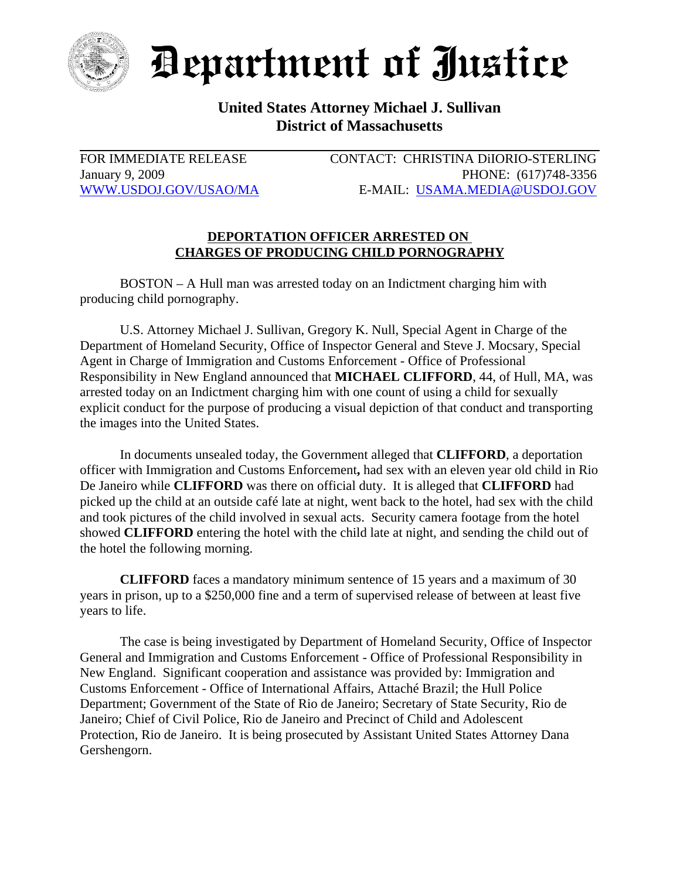

Department of Justice

## **United States Attorney Michael J. Sullivan District of Massachusetts**

FOR IMMEDIATE RELEASE CONTACT: CHRISTINA DiIORIO-STERLING January 9, 2009 PHONE: (617)748-3356 WWW.USDOJ.GOV/USAO/MA E-MAIL: USAMA.MEDIA@USDOJ.GOV

## **DEPORTATION OFFICER ARRESTED ON CHARGES OF PRODUCING CHILD PORNOGRAPHY**

BOSTON – A Hull man was arrested today on an Indictment charging him with producing child pornography.

U.S. Attorney Michael J. Sullivan, Gregory K. Null, Special Agent in Charge of the Department of Homeland Security, Office of Inspector General and Steve J. Mocsary, Special Agent in Charge of Immigration and Customs Enforcement - Office of Professional Responsibility in New England announced that **MICHAEL CLIFFORD**, 44, of Hull, MA, was arrested today on an Indictment charging him with one count of using a child for sexually explicit conduct for the purpose of producing a visual depiction of that conduct and transporting the images into the United States.

In documents unsealed today, the Government alleged that **CLIFFORD**, a deportation officer with Immigration and Customs Enforcement**,** had sex with an eleven year old child in Rio De Janeiro while **CLIFFORD** was there on official duty. It is alleged that **CLIFFORD** had picked up the child at an outside café late at night, went back to the hotel, had sex with the child and took pictures of the child involved in sexual acts. Security camera footage from the hotel showed **CLIFFORD** entering the hotel with the child late at night, and sending the child out of the hotel the following morning.

**CLIFFORD** faces a mandatory minimum sentence of 15 years and a maximum of 30 years in prison, up to a \$250,000 fine and a term of supervised release of between at least five years to life.

The case is being investigated by Department of Homeland Security, Office of Inspector General and Immigration and Customs Enforcement - Office of Professional Responsibility in New England. Significant cooperation and assistance was provided by: Immigration and Customs Enforcement - Office of International Affairs, Attaché Brazil; the Hull Police Department; Government of the State of Rio de Janeiro; Secretary of State Security, Rio de Janeiro; Chief of Civil Police, Rio de Janeiro and Precinct of Child and Adolescent Protection, Rio de Janeiro. It is being prosecuted by Assistant United States Attorney Dana Gershengorn.